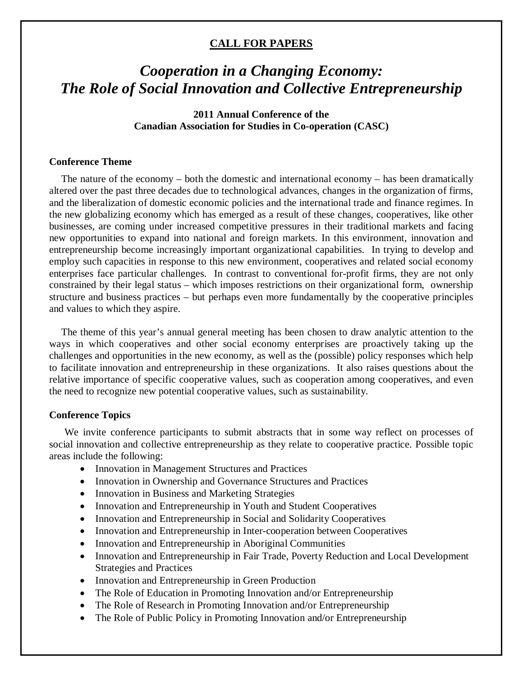## **CALL FOR PAPERS**

# *Cooperation in a Changing Economy: The Role of Social Innovation and Collective Entrepreneurship*

# **2011 Annual Conference of the Canadian Association for Studies in Co-operation (CASC)**

#### **Conference Theme**

The nature of the economy – both the domestic and international economy – has been dramatically altered over the past three decades due to technological advances, changes in the organization of firms, and the liberalization of domestic economic policies and the international trade and finance regimes. In the new globalizing economy which has emerged as a result of these changes, cooperatives, like other businesses, are coming under increased competitive pressures in their traditional markets and facing new opportunities to expand into national and foreign markets. In this environment, innovation and entrepreneurship become increasingly important organizational capabilities. In trying to develop and employ such capacities in response to this new environment, cooperatives and related social economy enterprises face particular challenges. In contrast to conventional for-profit firms, they are not only constrained by their legal status – which imposes restrictions on their organizational form, ownership structure and business practices – but perhaps even more fundamentally by the cooperative principles and values to which they aspire.

The theme of this year's annual general meeting has been chosen to draw analytic attention to the ways in which cooperatives and other social economy enterprises are proactively taking up the challenges and opportunities in the new economy, as well as the (possible) policy responses which help to facilitate innovation and entrepreneurship in these organizations. It also raises questions about the relative importance of specific cooperative values, such as cooperation among cooperatives, and even the need to recognize new potential cooperative values, such as sustainability.

#### **Conference Topics**

We invite conference participants to submit abstracts that in some way reflect on processes of social innovation and collective entrepreneurship as they relate to cooperative practice. Possible topic areas include the following:

- Innovation in Management Structures and Practices
- Innovation in Ownership and Governance Structures and Practices
- Innovation in Business and Marketing Strategies
- Innovation and Entrepreneurship in Youth and Student Cooperatives
- Innovation and Entrepreneurship in Social and Solidarity Cooperatives
- Innovation and Entrepreneurship in Inter-cooperation between Cooperatives
- Innovation and Entrepreneurship in Aboriginal Communities
- Innovation and Entrepreneurship in Fair Trade, Poverty Reduction and Local Development Strategies and Practices
- Innovation and Entrepreneurship in Green Production
- The Role of Education in Promoting Innovation and/or Entrepreneurship
- The Role of Research in Promoting Innovation and/or Entrepreneurship
- The Role of Public Policy in Promoting Innovation and/or Entrepreneurship